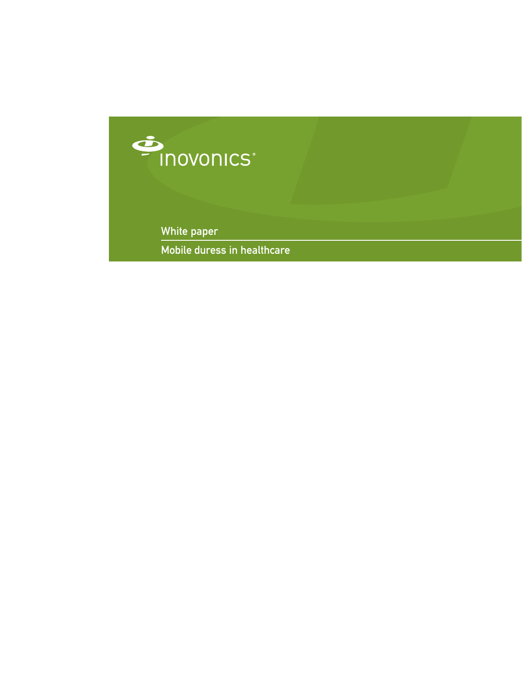

White paper

Mobile duress in healthcare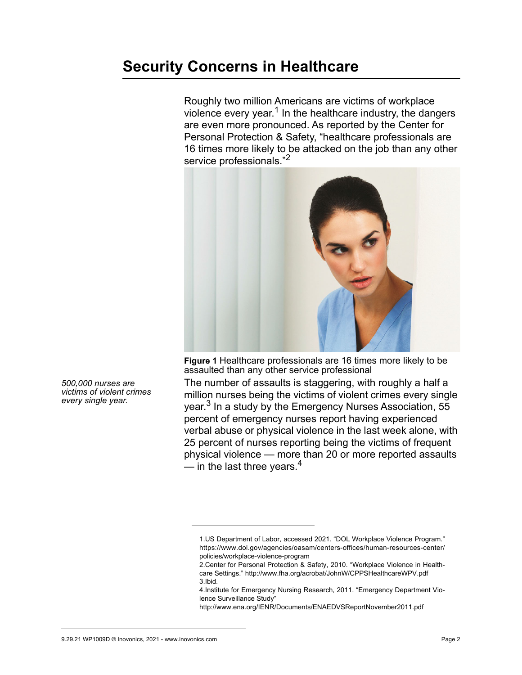# **Security Concerns in Healthcare**

Roughly two million Americans are victims of workplace violence every year.<sup>1</sup> In the healthcare industry, the dangers are even more pronounced. As reported by the Center for Personal Protection & Safety, "healthcare professionals are 16 times more likely to be attacked on the job than any other service professionals."<sup>2</sup>



**Figure 1** Healthcare professionals are 16 times more likely to be assaulted than any other service professional

The number of assaults is staggering, with roughly a half a million nurses being the victims of violent crimes every single year.3 In a study by the Emergency Nurses Association, 55 percent of emergency nurses report having experienced verbal abuse or physical violence in the last week alone, with 25 percent of nurses reporting being the victims of frequent physical violence — more than 20 or more reported assaults — in the last three years.<sup>4</sup>

http://www.ena.org/IENR/Documents/ENAEDVSReportNovember2011.pdf

*500,000 nurses are victims of violent crimes every single year.*

<sup>1.</sup>US Department of Labor, accessed 2021. "DOL Workplace Violence Program." https://www.dol.gov/agencies/oasam/centers-offices/human-resources-center/ policies/workplace-violence-program

<sup>2.</sup>Center for Personal Protection & Safety, 2010. "Workplace Violence in Healthcare Settings." http://www.fha.org/acrobat/JohnW/CPPSHealthcareWPV.pdf 3.Ibid.

<sup>4.</sup>Institute for Emergency Nursing Research, 2011. "Emergency Department Violence Surveillance Study"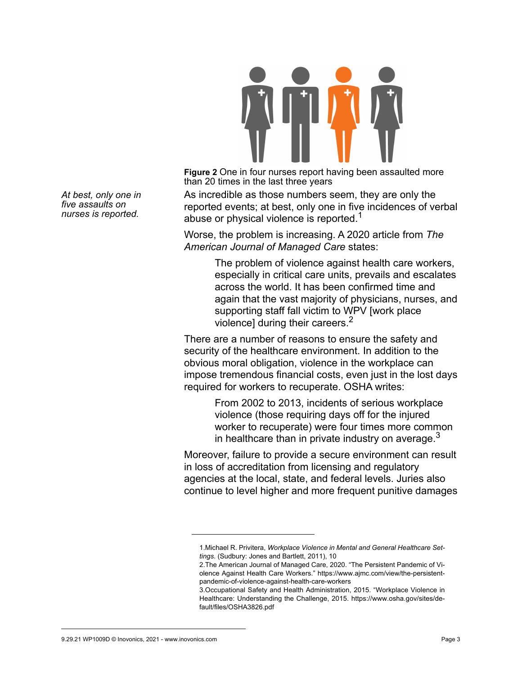

**Figure 2** One in four nurses report having been assaulted more than 20 times in the last three years

As incredible as those numbers seem, they are only the reported events; at best, only one in five incidences of verbal abuse or physical violence is reported.<sup>1</sup>

Worse, the problem is increasing. A 2020 article from *The American Journal of Managed Care* states:

> The problem of violence against health care workers, especially in critical care units, prevails and escalates across the world. It has been confirmed time and again that the vast majority of physicians, nurses, and supporting staff fall victim to WPV [work place violence] during their careers.<sup>2</sup>

There are a number of reasons to ensure the safety and security of the healthcare environment. In addition to the obvious moral obligation, violence in the workplace can impose tremendous financial costs, even just in the lost days required for workers to recuperate. OSHA writes:

> From 2002 to 2013, incidents of serious workplace violence (those requiring days off for the injured worker to recuperate) were four times more common in healthcare than in private industry on average. $3$

Moreover, failure to provide a secure environment can result in loss of accreditation from licensing and regulatory agencies at the local, state, and federal levels. Juries also continue to level higher and more frequent punitive damages

*At best, only one in five assaults on nurses is reported.*

<sup>1.</sup>Michael R. Privitera, *Workplace Violence in Mental and General Healthcare Settings*. (Sudbury: Jones and Bartlett, 2011), 10

<sup>2.</sup>The American Journal of Managed Care, 2020. "The Persistent Pandemic of Violence Against Health Care Workers." https://www.ajmc.com/view/the-persistentpandemic-of-violence-against-health-care-workers

<sup>3.</sup>Occupational Safety and Health Administration, 2015. "Workplace Violence in Healthcare: Understanding the Challenge, 2015. https://www.osha.gov/sites/default/files/OSHA3826.pdf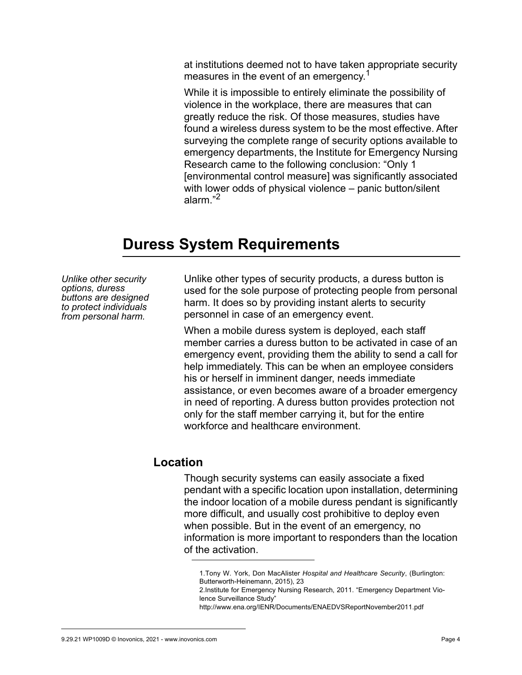at institutions deemed not to have taken appropriate security measures in the event of an emergency.<sup>1</sup>

While it is impossible to entirely eliminate the possibility of violence in the workplace, there are measures that can greatly reduce the risk. Of those measures, studies have found a wireless duress system to be the most effective. After surveying the complete range of security options available to emergency departments, the Institute for Emergency Nursing Research came to the following conclusion: "Only 1 [environmental control measure] was significantly associated with lower odds of physical violence – panic button/silent alarm "<sup>2</sup>

## **Duress System Requirements**

*Unlike other security options, duress buttons are designed to protect individuals from personal harm.*

Unlike other types of security products, a duress button is used for the sole purpose of protecting people from personal harm. It does so by providing instant alerts to security personnel in case of an emergency event.

When a mobile duress system is deployed, each staff member carries a duress button to be activated in case of an emergency event, providing them the ability to send a call for help immediately. This can be when an employee considers his or herself in imminent danger, needs immediate assistance, or even becomes aware of a broader emergency in need of reporting. A duress button provides protection not only for the staff member carrying it, but for the entire workforce and healthcare environment.

### **Location**

Though security systems can easily associate a fixed pendant with a specific location upon installation, determining the indoor location of a mobile duress pendant is significantly more difficult, and usually cost prohibitive to deploy even when possible. But in the event of an emergency, no information is more important to responders than the location of the activation.

2.Institute for Emergency Nursing Research, 2011. "Emergency Department Violence Surveillance Study" http://www.ena.org/IENR/Documents/ENAEDVSReportNovember2011.pdf

<sup>1.</sup>Tony W. York, Don MacAlister *Hospital and Healthcare Security*, (Burlington: Butterworth-Heinemann, 2015), 23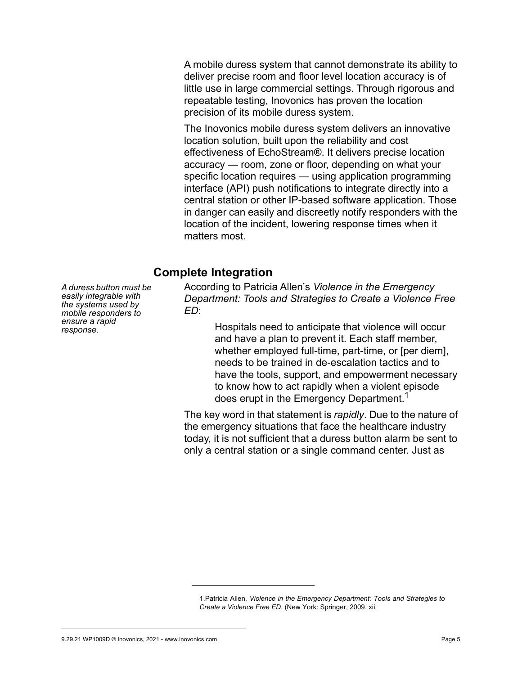A mobile duress system that cannot demonstrate its ability to deliver precise room and floor level location accuracy is of little use in large commercial settings. Through rigorous and repeatable testing, Inovonics has proven the location precision of its mobile duress system.

The Inovonics mobile duress system delivers an innovative location solution, built upon the reliability and cost effectiveness of EchoStream®. It delivers precise location accuracy — room, zone or floor, depending on what your specific location requires — using application programming interface (API) push notifications to integrate directly into a central station or other IP-based software application. Those in danger can easily and discreetly notify responders with the location of the incident, lowering response times when it matters most.

#### **Complete Integration**

*A duress button must be easily integrable with the systems used by mobile responders to ensure a rapid response.*

According to Patricia Allen's *Violence in the Emergency Department: Tools and Strategies to Create a Violence Free ED*:

> Hospitals need to anticipate that violence will occur and have a plan to prevent it. Each staff member, whether employed full-time, part-time, or [per diem], needs to be trained in de-escalation tactics and to have the tools, support, and empowerment necessary to know how to act rapidly when a violent episode does erupt in the Emergency Department.<sup>1</sup>

The key word in that statement is *rapidly*. Due to the nature of the emergency situations that face the healthcare industry today, it is not sufficient that a duress button alarm be sent to only a central station or a single command center. Just as

<sup>1.</sup>Patricia Allen, *Violence in the Emergency Department: Tools and Strategies to Create a Violence Free ED*, (New York: Springer, 2009, xii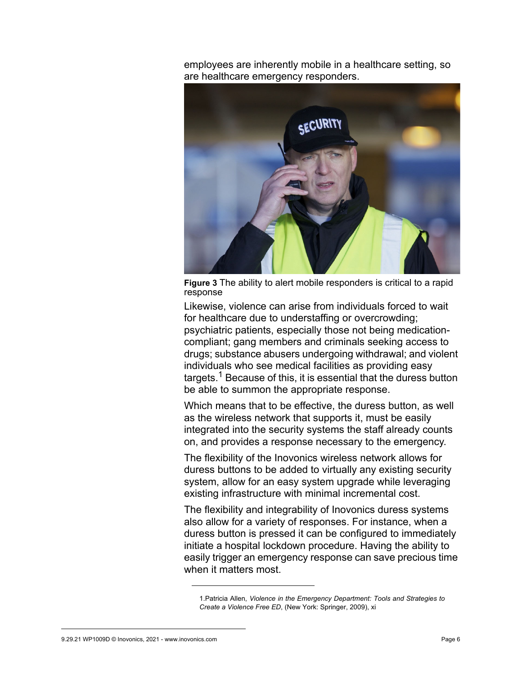employees are inherently mobile in a healthcare setting, so are healthcare emergency responders.



**Figure 3** The ability to alert mobile responders is critical to a rapid response

Likewise, violence can arise from individuals forced to wait for healthcare due to understaffing or overcrowding; psychiatric patients, especially those not being medicationcompliant; gang members and criminals seeking access to drugs; substance abusers undergoing withdrawal; and violent individuals who see medical facilities as providing easy targets.<sup>1</sup> Because of this, it is essential that the duress button be able to summon the appropriate response.

Which means that to be effective, the duress button, as well as the wireless network that supports it, must be easily integrated into the security systems the staff already counts on, and provides a response necessary to the emergency.

The flexibility of the Inovonics wireless network allows for duress buttons to be added to virtually any existing security system, allow for an easy system upgrade while leveraging existing infrastructure with minimal incremental cost.

The flexibility and integrability of Inovonics duress systems also allow for a variety of responses. For instance, when a duress button is pressed it can be configured to immediately initiate a hospital lockdown procedure. Having the ability to easily trigger an emergency response can save precious time when it matters most

<sup>1.</sup>Patricia Allen, *Violence in the Emergency Department: Tools and Strategies to Create a Violence Free ED*, (New York: Springer, 2009), xi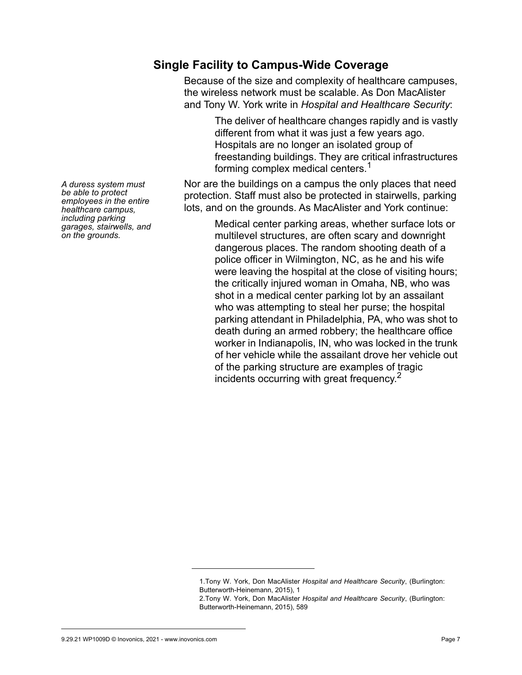### **Single Facility to Campus-Wide Coverage**

Because of the size and complexity of healthcare campuses, the wireless network must be scalable. As Don MacAlister and Tony W. York write in *Hospital and Healthcare Security*:

> The deliver of healthcare changes rapidly and is vastly different from what it was just a few years ago. Hospitals are no longer an isolated group of freestanding buildings. They are critical infrastructures forming complex medical centers.<sup>1</sup>

Nor are the buildings on a campus the only places that need protection. Staff must also be protected in stairwells, parking lots, and on the grounds. As MacAlister and York continue:

> Medical center parking areas, whether surface lots or multilevel structures, are often scary and downright dangerous places. The random shooting death of a police officer in Wilmington, NC, as he and his wife were leaving the hospital at the close of visiting hours; the critically injured woman in Omaha, NB, who was shot in a medical center parking lot by an assailant who was attempting to steal her purse; the hospital parking attendant in Philadelphia, PA, who was shot to death during an armed robbery; the healthcare office worker in Indianapolis, IN, who was locked in the trunk of her vehicle while the assailant drove her vehicle out of the parking structure are examples of tragic incidents occurring with great frequency.<sup>2</sup>

*A duress system must be able to protect employees in the entire healthcare campus, including parking garages, stairwells, and on the grounds.*

<sup>1.</sup>Tony W. York, Don MacAlister *Hospital and Healthcare Security*, (Burlington: Butterworth-Heinemann, 2015), 1

<sup>2.</sup>Tony W. York, Don MacAlister *Hospital and Healthcare Security*, (Burlington: Butterworth-Heinemann, 2015), 589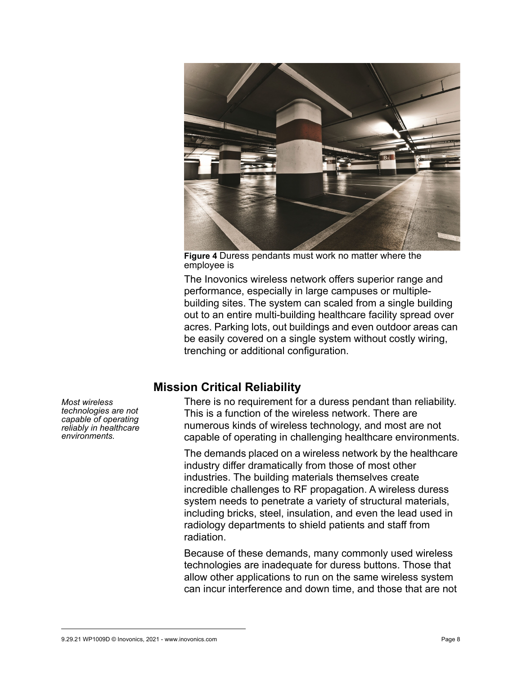

**Figure 4** Duress pendants must work no matter where the employee is

The Inovonics wireless network offers superior range and performance, especially in large campuses or multiplebuilding sites. The system can scaled from a single building out to an entire multi-building healthcare facility spread over acres. Parking lots, out buildings and even outdoor areas can be easily covered on a single system without costly wiring, trenching or additional configuration.

#### **Mission Critical Reliability**

There is no requirement for a duress pendant than reliability. This is a function of the wireless network. There are numerous kinds of wireless technology, and most are not capable of operating in challenging healthcare environments.

The demands placed on a wireless network by the healthcare industry differ dramatically from those of most other industries. The building materials themselves create incredible challenges to RF propagation. A wireless duress system needs to penetrate a variety of structural materials, including bricks, steel, insulation, and even the lead used in radiology departments to shield patients and staff from radiation.

Because of these demands, many commonly used wireless technologies are inadequate for duress buttons. Those that allow other applications to run on the same wireless system can incur interference and down time, and those that are not

*Most wireless technologies are not capable of operating reliably in healthcare environments.*